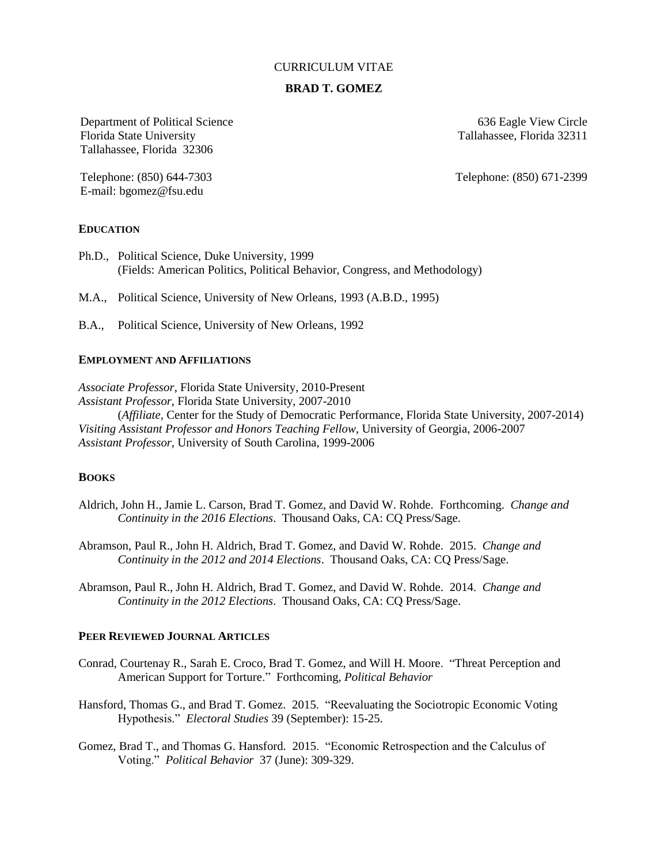## CURRICULUM VITAE

## **BRAD T. GOMEZ**

Department of Political Science Florida State University Tallahassee, Florida 32306

636 Eagle View Circle Tallahassee, Florida 32311

Telephone: (850) 644-7303 E-mail: bgomez@fsu.edu

Telephone: (850) 671-2399

### **EDUCATION**

- Ph.D., Political Science, Duke University, 1999 (Fields: American Politics, Political Behavior, Congress, and Methodology)
- M.A., Political Science, University of New Orleans, 1993 (A.B.D., 1995)
- B.A., Political Science, University of New Orleans, 1992

## **EMPLOYMENT AND AFFILIATIONS**

*Associate Professor*, Florida State University, 2010-Present *Assistant Professor*, Florida State University, 2007-2010

(*Affiliate*, Center for the Study of Democratic Performance, Florida State University, 2007-2014) *Visiting Assistant Professor and Honors Teaching Fellow*, University of Georgia, 2006-2007 *Assistant Professor*, University of South Carolina, 1999-2006

## **BOOKS**

- Aldrich, John H., Jamie L. Carson, Brad T. Gomez, and David W. Rohde. Forthcoming. *Change and Continuity in the 2016 Elections*. Thousand Oaks, CA: CQ Press/Sage.
- Abramson, Paul R., John H. Aldrich, Brad T. Gomez, and David W. Rohde. 2015. *Change and Continuity in the 2012 and 2014 Elections*. Thousand Oaks, CA: CQ Press/Sage.

Abramson, Paul R., John H. Aldrich, Brad T. Gomez, and David W. Rohde. 2014. *Change and Continuity in the 2012 Elections*. Thousand Oaks, CA: CQ Press/Sage.

## **PEER REVIEWED JOURNAL ARTICLES**

- Conrad, Courtenay R., Sarah E. Croco, Brad T. Gomez, and Will H. Moore. "Threat Perception and American Support for Torture." Forthcoming, *Political Behavior*
- Hansford, Thomas G., and Brad T. Gomez. 2015. "Reevaluating the Sociotropic Economic Voting Hypothesis." *Electoral Studies* 39 (September): 15-25.
- Gomez, Brad T., and Thomas G. Hansford. 2015. "Economic Retrospection and the Calculus of Voting." *Political Behavior* 37 (June): 309-329.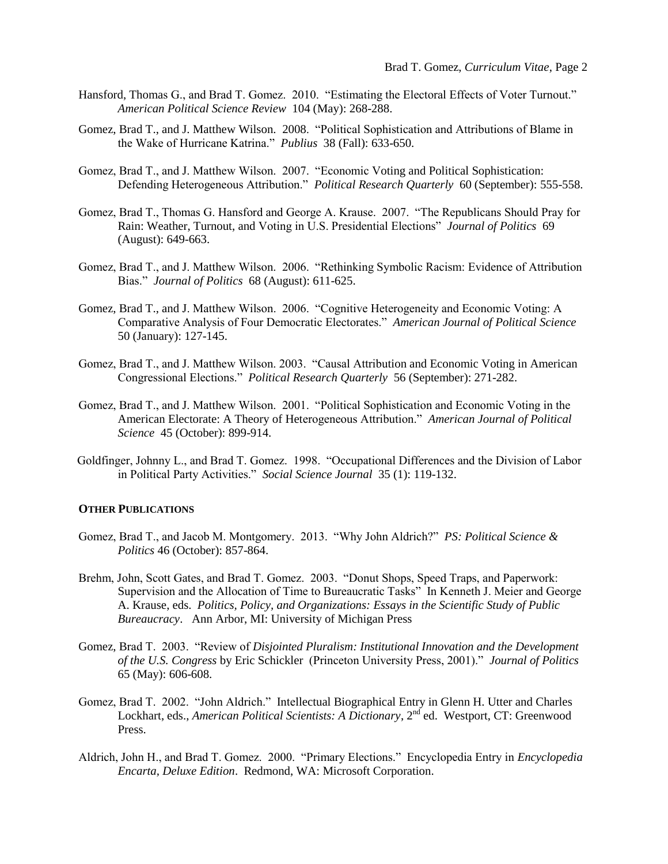- Hansford, Thomas G., and Brad T. Gomez. 2010. "Estimating the Electoral Effects of Voter Turnout." *American Political Science Review* 104 (May): 268-288.
- Gomez, Brad T., and J. Matthew Wilson. 2008. "Political Sophistication and Attributions of Blame in the Wake of Hurricane Katrina." *Publius* 38 (Fall): 633-650.
- Gomez, Brad T., and J. Matthew Wilson. 2007. "Economic Voting and Political Sophistication: Defending Heterogeneous Attribution." *Political Research Quarterly* 60 (September): 555-558.
- Gomez, Brad T., Thomas G. Hansford and George A. Krause. 2007. "The Republicans Should Pray for Rain: Weather, Turnout, and Voting in U.S. Presidential Elections" *Journal of Politics* 69 (August): 649-663.
- Gomez, Brad T., and J. Matthew Wilson. 2006. "Rethinking Symbolic Racism: Evidence of Attribution Bias." *Journal of Politics* 68 (August): 611-625.
- Gomez, Brad T., and J. Matthew Wilson. 2006. "Cognitive Heterogeneity and Economic Voting: A Comparative Analysis of Four Democratic Electorates." *American Journal of Political Science*  50 (January): 127-145.
- Gomez, Brad T., and J. Matthew Wilson. 2003. "Causal Attribution and Economic Voting in American Congressional Elections." *Political Research Quarterly* 56 (September): 271-282.
- Gomez, Brad T., and J. Matthew Wilson. 2001. "Political Sophistication and Economic Voting in the American Electorate: A Theory of Heterogeneous Attribution." *American Journal of Political Science* 45 (October): 899-914.
- Goldfinger, Johnny L., and Brad T. Gomez. 1998. "Occupational Differences and the Division of Labor in Political Party Activities." *Social Science Journal* 35 (1): 119-132.

### **OTHER PUBLICATIONS**

- Gomez, Brad T., and Jacob M. Montgomery. 2013. "Why John Aldrich?" *PS: Political Science & Politics* 46 (October): 857-864.
- Brehm, John, Scott Gates, and Brad T. Gomez. 2003. "Donut Shops, Speed Traps, and Paperwork: Supervision and the Allocation of Time to Bureaucratic Tasks" In Kenneth J. Meier and George A. Krause, eds. *Politics, Policy, and Organizations: Essays in the Scientific Study of Public Bureaucracy*. Ann Arbor, MI: University of Michigan Press
- Gomez, Brad T. 2003. "Review of *Disjointed Pluralism: Institutional Innovation and the Development of the U.S. Congress* by Eric Schickler (Princeton University Press, 2001)." *Journal of Politics* 65 (May): 606-608.
- Gomez, Brad T. 2002. "John Aldrich." Intellectual Biographical Entry in Glenn H. Utter and Charles Lockhart, eds., *American Political Scientists: A Dictionary*, 2<sup>nd</sup> ed. Westport, CT: Greenwood Press.
- Aldrich, John H., and Brad T. Gomez. 2000. "Primary Elections." Encyclopedia Entry in *Encyclopedia Encarta, Deluxe Edition*. Redmond, WA: Microsoft Corporation.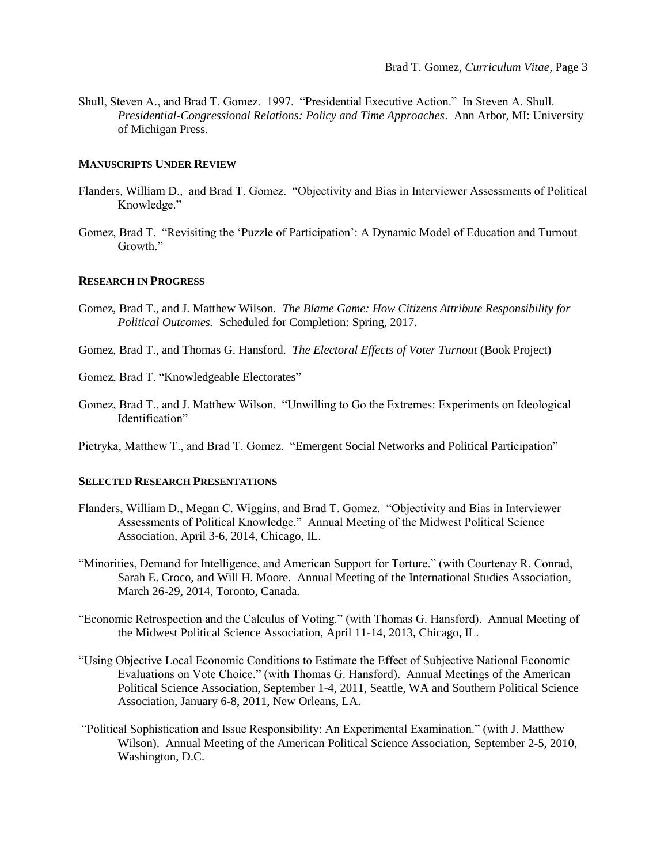Shull, Steven A., and Brad T. Gomez. 1997. "Presidential Executive Action." In Steven A. Shull. *Presidential-Congressional Relations: Policy and Time Approaches*. Ann Arbor, MI: University of Michigan Press.

### **MANUSCRIPTS UNDER REVIEW**

- Flanders, William D., and Brad T. Gomez. "Objectivity and Bias in Interviewer Assessments of Political Knowledge."
- Gomez, Brad T. "Revisiting the 'Puzzle of Participation': A Dynamic Model of Education and Turnout Growth."

### **RESEARCH IN PROGRESS**

- Gomez, Brad T., and J. Matthew Wilson. *The Blame Game: How Citizens Attribute Responsibility for Political Outcomes.* Scheduled for Completion: Spring, 2017.
- Gomez, Brad T., and Thomas G. Hansford. *The Electoral Effects of Voter Turnout* (Book Project)
- Gomez, Brad T. "Knowledgeable Electorates"
- Gomez, Brad T., and J. Matthew Wilson. "Unwilling to Go the Extremes: Experiments on Ideological Identification"

Pietryka, Matthew T., and Brad T. Gomez. "Emergent Social Networks and Political Participation"

### **SELECTED RESEARCH PRESENTATIONS**

- Flanders, William D., Megan C. Wiggins, and Brad T. Gomez. "Objectivity and Bias in Interviewer Assessments of Political Knowledge." Annual Meeting of the Midwest Political Science Association, April 3-6, 2014, Chicago, IL.
- "Minorities, Demand for Intelligence, and American Support for Torture." (with Courtenay R. Conrad, Sarah E. Croco, and Will H. Moore. Annual Meeting of the International Studies Association, March 26-29, 2014, Toronto, Canada.
- "Economic Retrospection and the Calculus of Voting." (with Thomas G. Hansford). Annual Meeting of the Midwest Political Science Association, April 11-14, 2013, Chicago, IL.
- "Using Objective Local Economic Conditions to Estimate the Effect of Subjective National Economic Evaluations on Vote Choice." (with Thomas G. Hansford). Annual Meetings of the American Political Science Association, September 1-4, 2011, Seattle, WA and Southern Political Science Association, January 6-8, 2011, New Orleans, LA.
- "Political Sophistication and Issue Responsibility: An Experimental Examination." (with J. Matthew Wilson). Annual Meeting of the American Political Science Association, September 2-5, 2010, Washington, D.C.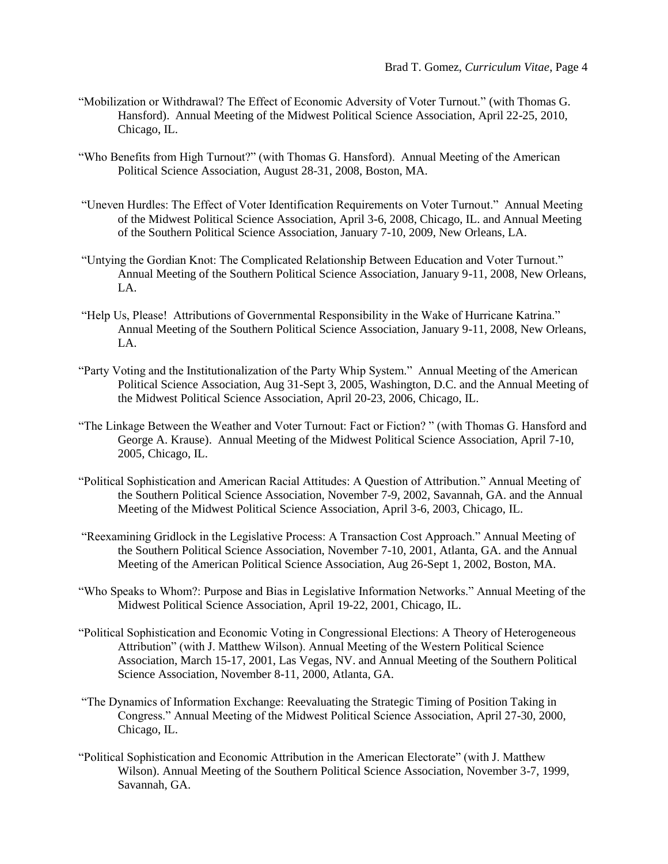- "Mobilization or Withdrawal? The Effect of Economic Adversity of Voter Turnout." (with Thomas G. Hansford). Annual Meeting of the Midwest Political Science Association, April 22-25, 2010, Chicago, IL.
- "Who Benefits from High Turnout?" (with Thomas G. Hansford). Annual Meeting of the American Political Science Association, August 28-31, 2008, Boston, MA.
- "Uneven Hurdles: The Effect of Voter Identification Requirements on Voter Turnout." Annual Meeting of the Midwest Political Science Association, April 3-6, 2008, Chicago, IL. and Annual Meeting of the Southern Political Science Association, January 7-10, 2009, New Orleans, LA.
- "Untying the Gordian Knot: The Complicated Relationship Between Education and Voter Turnout." Annual Meeting of the Southern Political Science Association, January 9-11, 2008, New Orleans, LA.
- "Help Us, Please! Attributions of Governmental Responsibility in the Wake of Hurricane Katrina." Annual Meeting of the Southern Political Science Association, January 9-11, 2008, New Orleans, LA.
- "Party Voting and the Institutionalization of the Party Whip System." Annual Meeting of the American Political Science Association, Aug 31-Sept 3, 2005, Washington, D.C. and the Annual Meeting of the Midwest Political Science Association, April 20-23, 2006, Chicago, IL.
- "The Linkage Between the Weather and Voter Turnout: Fact or Fiction? " (with Thomas G. Hansford and George A. Krause). Annual Meeting of the Midwest Political Science Association, April 7-10, 2005, Chicago, IL.
- "Political Sophistication and American Racial Attitudes: A Question of Attribution." Annual Meeting of the Southern Political Science Association, November 7-9, 2002, Savannah, GA. and the Annual Meeting of the Midwest Political Science Association, April 3-6, 2003, Chicago, IL.
- "Reexamining Gridlock in the Legislative Process: A Transaction Cost Approach." Annual Meeting of the Southern Political Science Association, November 7-10, 2001, Atlanta, GA. and the Annual Meeting of the American Political Science Association, Aug 26-Sept 1, 2002, Boston, MA.
- "Who Speaks to Whom?: Purpose and Bias in Legislative Information Networks." Annual Meeting of the Midwest Political Science Association, April 19-22, 2001, Chicago, IL.
- "Political Sophistication and Economic Voting in Congressional Elections: A Theory of Heterogeneous Attribution" (with J. Matthew Wilson). Annual Meeting of the Western Political Science Association, March 15-17, 2001, Las Vegas, NV. and Annual Meeting of the Southern Political Science Association, November 8-11, 2000, Atlanta, GA.
- "The Dynamics of Information Exchange: Reevaluating the Strategic Timing of Position Taking in Congress." Annual Meeting of the Midwest Political Science Association, April 27-30, 2000, Chicago, IL.
- "Political Sophistication and Economic Attribution in the American Electorate" (with J. Matthew Wilson). Annual Meeting of the Southern Political Science Association, November 3-7, 1999, Savannah, GA.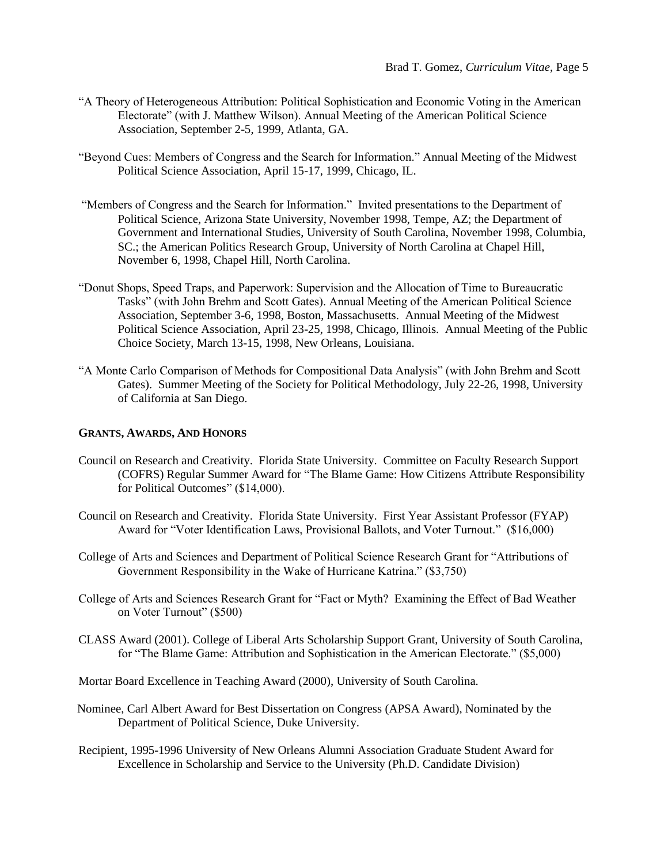- "A Theory of Heterogeneous Attribution: Political Sophistication and Economic Voting in the American Electorate" (with J. Matthew Wilson). Annual Meeting of the American Political Science Association, September 2-5, 1999, Atlanta, GA.
- "Beyond Cues: Members of Congress and the Search for Information." Annual Meeting of the Midwest Political Science Association, April 15-17, 1999, Chicago, IL.
- "Members of Congress and the Search for Information." Invited presentations to the Department of Political Science, Arizona State University, November 1998, Tempe, AZ; the Department of Government and International Studies, University of South Carolina, November 1998, Columbia, SC.; the American Politics Research Group, University of North Carolina at Chapel Hill, November 6, 1998, Chapel Hill, North Carolina.
- "Donut Shops, Speed Traps, and Paperwork: Supervision and the Allocation of Time to Bureaucratic Tasks" (with John Brehm and Scott Gates). Annual Meeting of the American Political Science Association, September 3-6, 1998, Boston, Massachusetts. Annual Meeting of the Midwest Political Science Association, April 23-25, 1998, Chicago, Illinois. Annual Meeting of the Public Choice Society, March 13-15, 1998, New Orleans, Louisiana.
- "A Monte Carlo Comparison of Methods for Compositional Data Analysis" (with John Brehm and Scott Gates). Summer Meeting of the Society for Political Methodology, July 22-26, 1998, University of California at San Diego.

# **GRANTS, AWARDS, AND HONORS**

- Council on Research and Creativity. Florida State University. Committee on Faculty Research Support (COFRS) Regular Summer Award for "The Blame Game: How Citizens Attribute Responsibility for Political Outcomes" (\$14,000).
- Council on Research and Creativity. Florida State University. First Year Assistant Professor (FYAP) Award for "Voter Identification Laws, Provisional Ballots, and Voter Turnout." (\$16,000)
- College of Arts and Sciences and Department of Political Science Research Grant for "Attributions of Government Responsibility in the Wake of Hurricane Katrina." (\$3,750)
- College of Arts and Sciences Research Grant for "Fact or Myth? Examining the Effect of Bad Weather on Voter Turnout" (\$500)
- CLASS Award (2001). College of Liberal Arts Scholarship Support Grant, University of South Carolina, for "The Blame Game: Attribution and Sophistication in the American Electorate." (\$5,000)
- Mortar Board Excellence in Teaching Award (2000), University of South Carolina.
- Nominee, Carl Albert Award for Best Dissertation on Congress (APSA Award), Nominated by the Department of Political Science, Duke University.
- Recipient, 1995-1996 University of New Orleans Alumni Association Graduate Student Award for Excellence in Scholarship and Service to the University (Ph.D. Candidate Division)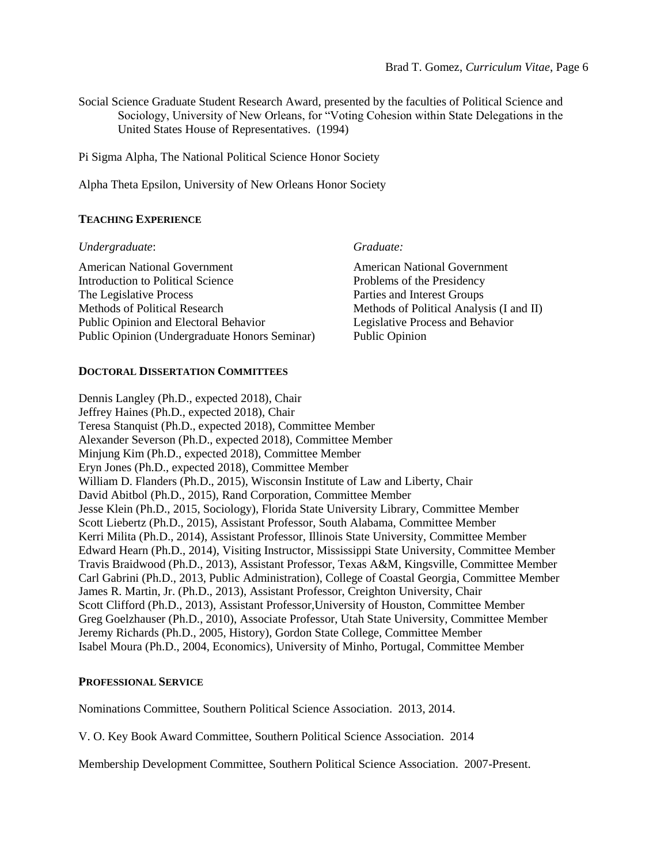Social Science Graduate Student Research Award, presented by the faculties of Political Science and Sociology, University of New Orleans, for "Voting Cohesion within State Delegations in the United States House of Representatives. (1994)

Pi Sigma Alpha, The National Political Science Honor Society

Alpha Theta Epsilon, University of New Orleans Honor Society

# **TEACHING EXPERIENCE**

## *Undergraduate*: *Graduate:*

American National Government American National Government Introduction to Political Science Problems of the Presidency The Legislative Process Parties and Interest Groups Methods of Political Research Methods of Political Analysis (I and II) Public Opinion and Electoral Behavior Legislative Process and Behavior Public Opinion (Undergraduate Honors Seminar) Public Opinion

## **DOCTORAL DISSERTATION COMMITTEES**

Dennis Langley (Ph.D., expected 2018), Chair Jeffrey Haines (Ph.D., expected 2018), Chair Teresa Stanquist (Ph.D., expected 2018), Committee Member Alexander Severson (Ph.D., expected 2018), Committee Member Minjung Kim (Ph.D., expected 2018), Committee Member Eryn Jones (Ph.D., expected 2018), Committee Member William D. Flanders (Ph.D., 2015), Wisconsin Institute of Law and Liberty, Chair David Abitbol (Ph.D., 2015), Rand Corporation, Committee Member Jesse Klein (Ph.D., 2015, Sociology), Florida State University Library, Committee Member Scott Liebertz (Ph.D., 2015), Assistant Professor, South Alabama, Committee Member Kerri Milita (Ph.D., 2014), Assistant Professor, Illinois State University, Committee Member Edward Hearn (Ph.D., 2014), Visiting Instructor, Mississippi State University, Committee Member Travis Braidwood (Ph.D., 2013), Assistant Professor, Texas A&M, Kingsville, Committee Member Carl Gabrini (Ph.D., 2013, Public Administration), College of Coastal Georgia, Committee Member James R. Martin, Jr. (Ph.D., 2013), Assistant Professor, Creighton University, Chair Scott Clifford (Ph.D., 2013), Assistant Professor,University of Houston, Committee Member Greg Goelzhauser (Ph.D., 2010), Associate Professor, Utah State University, Committee Member Jeremy Richards (Ph.D., 2005, History), Gordon State College, Committee Member Isabel Moura (Ph.D., 2004, Economics), University of Minho, Portugal, Committee Member

## **PROFESSIONAL SERVICE**

Nominations Committee, Southern Political Science Association. 2013, 2014.

V. O. Key Book Award Committee, Southern Political Science Association. 2014

Membership Development Committee, Southern Political Science Association. 2007-Present.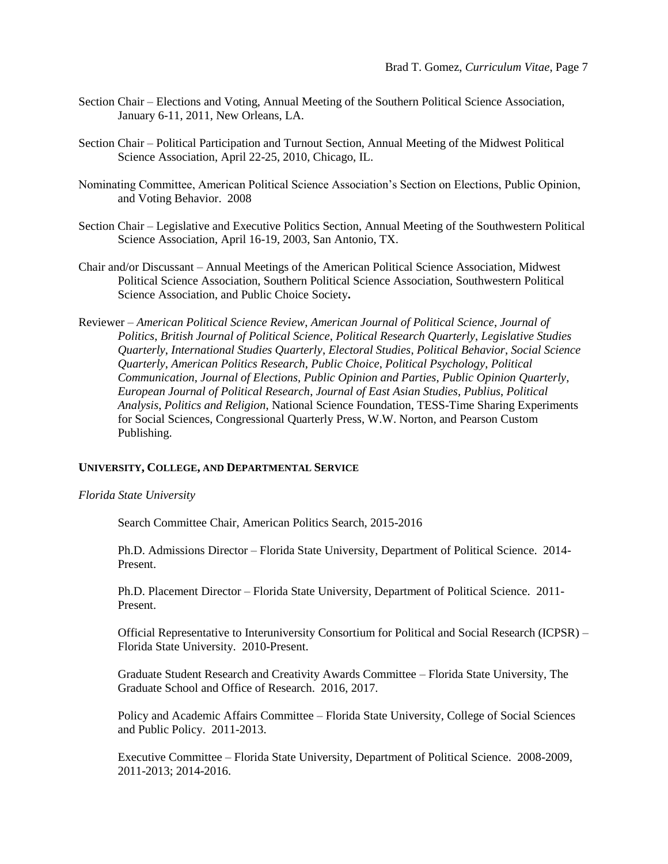- Section Chair Elections and Voting, Annual Meeting of the Southern Political Science Association, January 6-11, 2011, New Orleans, LA.
- Section Chair Political Participation and Turnout Section, Annual Meeting of the Midwest Political Science Association, April 22-25, 2010, Chicago, IL.
- Nominating Committee, American Political Science Association's Section on Elections, Public Opinion, and Voting Behavior. 2008
- Section Chair Legislative and Executive Politics Section, Annual Meeting of the Southwestern Political Science Association, April 16-19, 2003, San Antonio, TX.
- Chair and/or Discussant Annual Meetings of the American Political Science Association, Midwest Political Science Association, Southern Political Science Association, Southwestern Political Science Association, and Public Choice Society**.**
- Reviewer *American Political Science Review*, *American Journal of Political Science*, *Journal of Politics*, *British Journal of Political Science*, *Political Research Quarterly*, *Legislative Studies Quarterly*, *International Studies Quarterly*, *Electoral Studies*, *Political Behavior*, *Social Science Quarterly*, *American Politics Research*, *Public Choice*, *Political Psychology*, *Political Communication*, *Journal of Elections, Public Opinion and Parties*, *Public Opinion Quarterly*, *European Journal of Political Research*, *Journal of East Asian Studies*, *Publius*, *Political Analysis*, *Politics and Religion*, National Science Foundation, TESS-Time Sharing Experiments for Social Sciences, Congressional Quarterly Press, W.W. Norton, and Pearson Custom Publishing.

# **UNIVERSITY, COLLEGE, AND DEPARTMENTAL SERVICE**

#### *Florida State University*

Search Committee Chair, American Politics Search, 2015-2016

Ph.D. Admissions Director – Florida State University, Department of Political Science. 2014- Present.

Ph.D. Placement Director – Florida State University, Department of Political Science. 2011- Present.

Official Representative to Interuniversity Consortium for Political and Social Research (ICPSR) – Florida State University. 2010-Present.

Graduate Student Research and Creativity Awards Committee – Florida State University, The Graduate School and Office of Research. 2016, 2017.

Policy and Academic Affairs Committee – Florida State University, College of Social Sciences and Public Policy. 2011-2013.

Executive Committee – Florida State University, Department of Political Science. 2008-2009, 2011-2013; 2014-2016.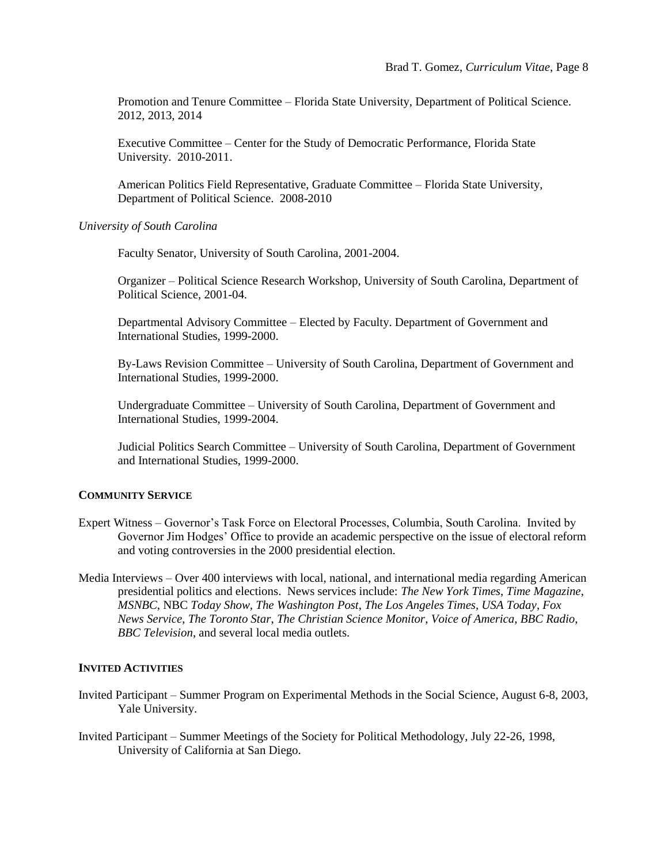Promotion and Tenure Committee – Florida State University, Department of Political Science. 2012, 2013, 2014

Executive Committee – Center for the Study of Democratic Performance, Florida State University. 2010-2011.

American Politics Field Representative, Graduate Committee – Florida State University, Department of Political Science. 2008-2010

*University of South Carolina*

Faculty Senator, University of South Carolina, 2001-2004.

Organizer – Political Science Research Workshop, University of South Carolina, Department of Political Science, 2001-04.

Departmental Advisory Committee – Elected by Faculty. Department of Government and International Studies, 1999-2000.

By-Laws Revision Committee – University of South Carolina, Department of Government and International Studies, 1999-2000.

Undergraduate Committee – University of South Carolina, Department of Government and International Studies, 1999-2004.

Judicial Politics Search Committee – University of South Carolina, Department of Government and International Studies, 1999-2000.

#### **COMMUNITY SERVICE**

- Expert Witness Governor's Task Force on Electoral Processes, Columbia, South Carolina. Invited by Governor Jim Hodges' Office to provide an academic perspective on the issue of electoral reform and voting controversies in the 2000 presidential election.
- Media Interviews Over 400 interviews with local, national, and international media regarding American presidential politics and elections. News services include: *The New York Times*, *Time Magazine*, *MSNBC*, NBC *Today Show, The Washington Post*, *The Los Angeles Times*, *USA Today*, *Fox News Service*, *The Toronto Star*, *The Christian Science Monitor*, *Voice of America*, *BBC Radio*, *BBC Television*, and several local media outlets.

## **INVITED ACTIVITIES**

- Invited Participant Summer Program on Experimental Methods in the Social Science, August 6-8, 2003, Yale University.
- Invited Participant Summer Meetings of the Society for Political Methodology, July 22-26, 1998, University of California at San Diego.